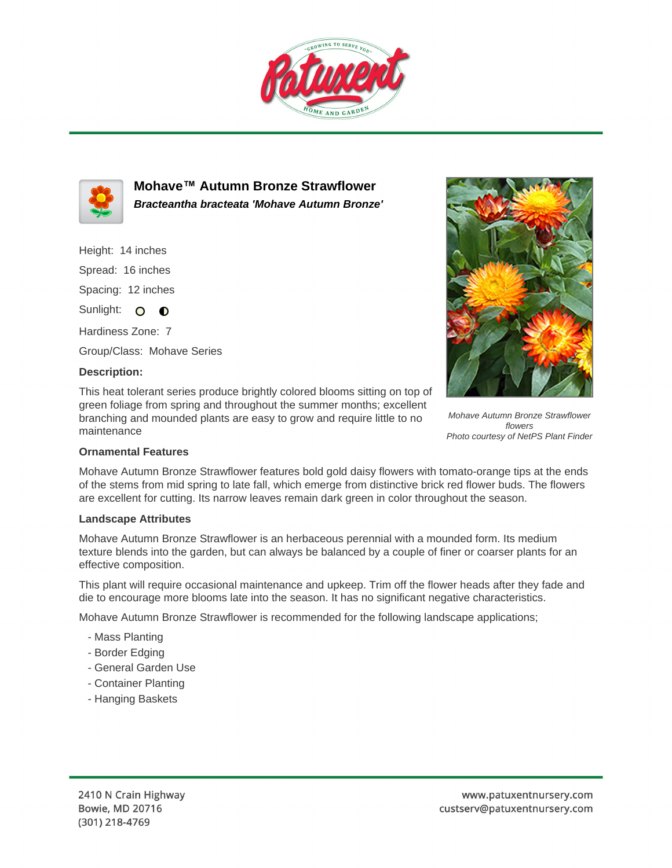



**Mohave™ Autumn Bronze Strawflower Bracteantha bracteata 'Mohave Autumn Bronze'**

Height: 14 inches Spread: 16 inches Spacing: 12 inches Sunlight: O O

Hardiness Zone: 7 Group/Class: Mohave Series

## **Description:**

This heat tolerant series produce brightly colored blooms sitting on top of green foliage from spring and throughout the summer months; excellent branching and mounded plants are easy to grow and require little to no maintenance



Mohave Autumn Bronze Strawflower flowers Photo courtesy of NetPS Plant Finder

## **Ornamental Features**

Mohave Autumn Bronze Strawflower features bold gold daisy flowers with tomato-orange tips at the ends of the stems from mid spring to late fall, which emerge from distinctive brick red flower buds. The flowers are excellent for cutting. Its narrow leaves remain dark green in color throughout the season.

## **Landscape Attributes**

Mohave Autumn Bronze Strawflower is an herbaceous perennial with a mounded form. Its medium texture blends into the garden, but can always be balanced by a couple of finer or coarser plants for an effective composition.

This plant will require occasional maintenance and upkeep. Trim off the flower heads after they fade and die to encourage more blooms late into the season. It has no significant negative characteristics.

Mohave Autumn Bronze Strawflower is recommended for the following landscape applications;

- Mass Planting
- Border Edging
- General Garden Use
- Container Planting
- Hanging Baskets